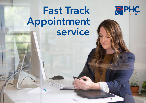

# Fast Track Appointment service